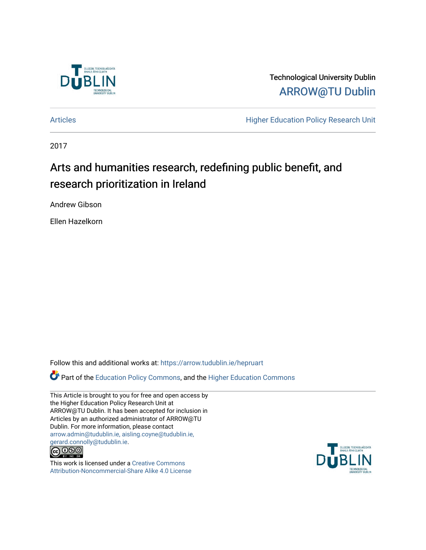

Technological University Dublin [ARROW@TU Dublin](https://arrow.tudublin.ie/) 

[Articles](https://arrow.tudublin.ie/hepruart) **Articles Articles Higher Education Policy Research Unit** 

2017

# Arts and humanities research, redefining public benefit, and research prioritization in Ireland

Andrew Gibson

Ellen Hazelkorn

Follow this and additional works at: [https://arrow.tudublin.ie/hepruart](https://arrow.tudublin.ie/hepruart?utm_source=arrow.tudublin.ie%2Fhepruart%2F2&utm_medium=PDF&utm_campaign=PDFCoverPages) 

Part of the [Education Policy Commons](http://network.bepress.com/hgg/discipline/1026?utm_source=arrow.tudublin.ie%2Fhepruart%2F2&utm_medium=PDF&utm_campaign=PDFCoverPages), and the [Higher Education Commons](http://network.bepress.com/hgg/discipline/1245?utm_source=arrow.tudublin.ie%2Fhepruart%2F2&utm_medium=PDF&utm_campaign=PDFCoverPages)

This Article is brought to you for free and open access by the Higher Education Policy Research Unit at ARROW@TU Dublin. It has been accepted for inclusion in Articles by an authorized administrator of ARROW@TU Dublin. For more information, please contact [arrow.admin@tudublin.ie, aisling.coyne@tudublin.ie,](mailto:arrow.admin@tudublin.ie,%20aisling.coyne@tudublin.ie,%20gerard.connolly@tudublin.ie)  [gerard.connolly@tudublin.ie](mailto:arrow.admin@tudublin.ie,%20aisling.coyne@tudublin.ie,%20gerard.connolly@tudublin.ie).



This work is licensed under a [Creative Commons](http://creativecommons.org/licenses/by-nc-sa/4.0/) [Attribution-Noncommercial-Share Alike 4.0 License](http://creativecommons.org/licenses/by-nc-sa/4.0/)

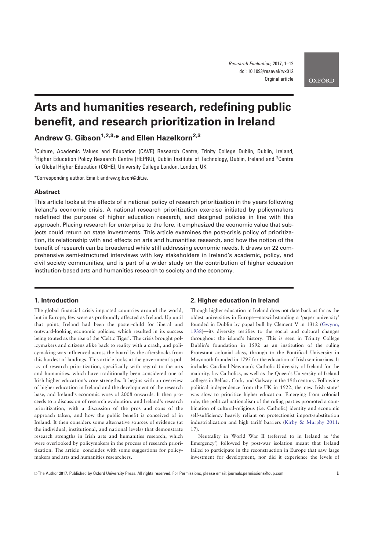## Arts and humanities research, redefining public benefit, and research prioritization in Ireland

Andrew G. Gibson<sup>1,2,3,\*</sup> and Ellen Hazelkorn<sup>2,3</sup>

<sup>1</sup>Culture, Academic Values and Education (CAVE) Research Centre, Trinity College Dublin, Dublin, Ireland, <sup>2</sup>Higher Education Policy Research Centre (HEPRU), Dublin Institute of Technology, Dublin, Ireland and <sup>3</sup>Centre for Global Higher Education (CGHE), University College London, London, UK

\*Corresponding author. Email: andrew.gibson@dit.ie.

#### Abstract

This article looks at the effects of a national policy of research prioritization in the years following Ireland's economic crisis. A national research prioritization exercise initiated by policymakers redefined the purpose of higher education research, and designed policies in line with this approach. Placing research for enterprise to the fore, it emphasized the economic value that subjects could return on state investments. This article examines the post-crisis policy of prioritization, its relationship with and effects on arts and humanities research, and how the notion of the benefit of research can be broadened while still addressing economic needs. It draws on 22 comprehensive semi-structured interviews with key stakeholders in Ireland's academic, policy, and civil society communities, and is part of a wider study on the contribution of higher education institution-based arts and humanities research to society and the economy.

## 1. Introduction

The global financial crisis impacted countries around the world, but in Europe, few were as profoundly affected as Ireland. Up until that point, Ireland had been the poster-child for liberal and outward-looking economic policies, which resulted in its success being touted as the rise of the 'Celtic Tiger'. The crisis brought policymakers and citizens alike back to reality with a crash, and policymaking was influenced across the board by the aftershocks from this hardest of landings. This article looks at the government's policy of research prioritization, specifically with regard to the arts and humanities, which have traditionally been considered one of Irish higher education's core strengths. It begins with an overview of higher education in Ireland and the development of the research base, and Ireland's economic woes of 2008 onwards. It then proceeds to a discussion of research evaluation, and Ireland's research prioritization, with a discussion of the pros and cons of the approach taken, and how the public benefit is conceived of in Ireland. It then considers some alternative sources of evidence (at the individual, institutional, and national levels) that demonstrate research strengths in Irish arts and humanities research, which were overlooked by policymakers in the process of research prioritization. The article concludes with some suggestions for policymakers and arts and humanities researchers.

#### 2. Higher education in Ireland

Though higher education in Ireland does not date back as far as the oldest universities in Europe—notwithstanding a 'paper university' founded in Dublin by papal bull by Clement V in 1312 (Gwynn, 1938)—its diversity testifies to the social and cultural changes throughout the island's history. This is seen in Trinity College Dublin's foundation in 1592 as an institution of the ruling Protestant colonial class, through to the Pontifical University in Maynooth founded in 1795 for the education of Irish seminarians. It includes Cardinal Newman's Catholic University of Ireland for the majority, lay Catholics, as well as the Queen's University of Ireland colleges in Belfast, Cork, and Galway in the 19th century. Following political independence from the UK in 1922, the new Irish state<sup>1</sup> was slow to prioritize higher education. Emerging from colonial rule, the political nationalism of the ruling parties promoted a combination of cultural-religious (i.e. Catholic) identity and economic self-sufficiency heavily reliant on protectionist import-substitution industrialization and high tariff barriers (Kirby & Murphy 2011: 17).

Neutrality in World War II (referred to in Ireland as 'the Emergency') followed by post-war isolation meant that Ireland failed to participate in the reconstruction in Europe that saw large investment for development, nor did it experience the levels of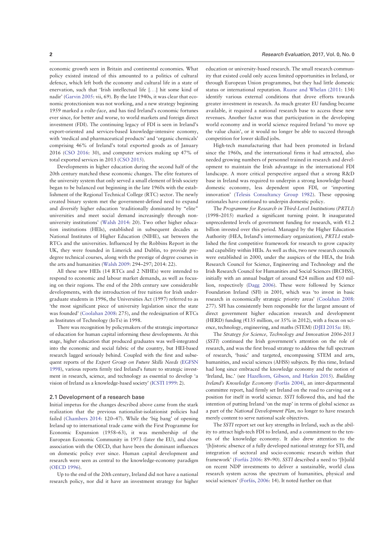economic growth seen in Britain and continental economies. What policy existed instead of this amounted to a politics of cultural defence, which left both the economy and cultural life in a state of enervation, such that 'Irish intellectual life [...] hit some kind of nadir' (Garvin 2005: vii, 69). By the late 1940s, it was clear that economic protectionism was not working, and a new strategy beginning 1959 marked a volte-face, and has tied Ireland's economic fortunes ever since, for better and worse, to world markets and foreign direct investment (FDI). The continuing legacy of FDI is seen in Ireland's export-oriented and services-based knowledge-intensive economy, with 'medical and pharmaceutical products' and 'organic chemicals' comprising 46% of Ireland's total exported goods as of January 2016 (CSO 2016: 30), and computer services making up 47% of total exported services in 2013 (CSO 2015).

Developments in higher education during the second half of the 20th century matched these economic changes. The elite features of the university system that only served a small element of Irish society began to be balanced out beginning in the late 1960s with the establishment of the Regional Technical College (RTC) sector. The newly created binary system met the government-defined need to expand and diversify higher education 'traditionally dominated by "elite" universities and meet social demand increasingly through nonuniversity institutions' (Walsh 2014: 20). Two other higher education institutions (HEIs), established in subsequent decades as National Institutes of Higher Education (NIHE), sat between the RTCs and the universities. Influenced by the Robbins Report in the UK, they were founded in Limerick and Dublin, to provide predegree technical courses, along with the prestige of degree courses in the arts and humanities (Walsh 2009: 294–297; 2014: 22).

All these new HEIs (14 RTCs and 2 NIHEs) were intended to respond to economic and labour market demands, as well as focusing on their regions. The end of the 20th century saw considerable developments, with the introduction of free tuition for Irish undergraduate students in 1996, the Universities Act (1997) referred to as 'the most significant piece of university legislation since the state was founded' (Coolahan 2008: 275), and the redesignation of RTCs as Institutes of Technology (IoTs) in 1998.

There was recognition by policymakers of the strategic importance of education for human capital informing these developments. At this stage, higher education that produced graduates was well-integrated into the economic and social fabric of the country, but HEI-based research lagged seriously behind. Coupled with the first and subsequent reports of the Expert Group on Future Skills Needs (EGFSN 1998), various reports firmly tied Ireland's future to strategic investment in research, science, and technology as essential to develop 'a vision of Ireland as a knowledge-based society' (ICSTI 1999: 2).

#### 2.1 Development of a research base

Initial impetus for the changes described above came from the stark realization that the previous nationalist-isolationist policies had failed (Chambers 2014: 120–47). While the 'big bang' of opening Ireland up to international trade came with the First Programme for Economic Expansion (1958–63), it was membership of the European Economic Community in 1973 (later the EU), and close association with the OECD, that have been the dominant influences on domestic policy ever since. Human capital development and research were seen as central to the knowledge-economy paradigm (OECD 1996).

Up to the end of the 20th century, Ireland did not have a national research policy, nor did it have an investment strategy for higher education or university-based research. The small research community that existed could only access limited opportunities in Ireland, or through European Union programmes, but they had little domestic status or international reputation. Ruane and Whelan (2011: 134) identify various external conditions that drove efforts towards greater investment in research. As much greater EU funding became available, it required a national research base to access these new revenues. Another factor was that participation in the developing world economy and in world science required Ireland 'to move up the value chain', or it would no longer be able to succeed through competition for lower skilled jobs.

High-tech manufacturing that had been promoted in Ireland since the 1960s, and the international firms it had attracted, also needed growing numbers of personnel trained in research and development to maintain the Irish advantage in the international FDI landscape. A more critical perspective argued that a strong R&D base in Ireland was required to underpin a strong knowledge-based domestic economy, less dependent upon FDI, or 'importing innovation' (Telesis Consultancy Group 1982). These opposing rationales have continued to underpin domestic policy.

The Programme for Research in Third-Level Institutions (PRTLI) (1998–2015) marked a significant turning point. It inaugurated unprecedented levels of government funding for research, with  $£1.2$ billion invested over this period. Managed by the Higher Education Authority (HEA, Ireland's intermediary organization), PRTLI established the first competitive framework for research to grow capacity and capability within HEIs. As well as this, two new research councils were established in 2000, under the auspices of the HEA, the Irish Research Council for Science, Engineering and Technology and the Irish Research Council for Humanities and Social Sciences (IRCHSS), initially with an annual budget of around  $E$ 24 million and  $E$ 10 million, respectively (Dagg 2006). These were followed by Science Foundation Ireland (SFI) in 2001, which was 'to invest in basic research in economically strategic priority areas' (Coolahan 2008: 277). SFI has consistently been responsible for the largest amount of direct government higher education research and development (HERD) funding ( $\epsilon$ 135 million, or 35% in 2012), with a focus on science, technology, engineering, and maths (STEM) (DJEI 2015a: 18).

The Strategy for Science, Technology and Innovation 2006-2013 (SSTI) continued the Irish government's attention on the role of research, and was the first broad strategy to address the full spectrum of research, 'basic' and targeted, encompassing STEM and arts, humanities, and social sciences (AHSS) subjects. By this time, Ireland had long since embraced the knowledge economy and the notion of 'Ireland, Inc.' (see Hazelkorn, Gibson, and Harkin 2015). Building Ireland's Knowledge Economy (Forfás 2004), an inter-departmental committee report, had firmly set Ireland on the road to carving out a position for itself in world science. SSTI followed this, and had the intention of putting Ireland 'on the map' in terms of global science as a part of the National Development Plan, no longer to have research merely content to serve national scale objectives.

The SSTI report set out key strengths in Ireland, such as the ability to attract high-tech FDI to Ireland, and a commitment to the tenets of the knowledge economy. It also drew attention to the '[h]istoric absence of a fully developed national strategy for STI, and integration of sectoral and socio-economic research within that framework' (Forfás 2006: 89–90). SSTI described a need to '[b]uild on recent NDP investments to deliver a sustainable, world class research system across the spectrum of humanities, physical and social sciences' (Forfás, 2006: 14). It noted further on that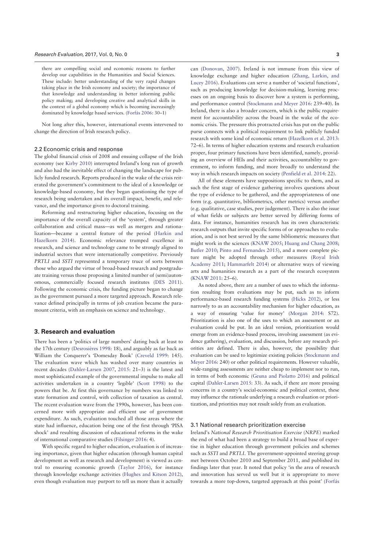there are compelling social and economic reasons to further develop our capabilities in the Humanities and Social Sciences. These include: better understanding of the very rapid changes taking place in the Irish economy and society; the importance of that knowledge and understanding in better informing public policy making; and developing creative and analytical skills in the context of a global economy which is becoming increasingly dominated by knowledge based services. (Forfás 2006: 30-1)

Not long after this, however, international events intervened to change the direction of Irish research policy.

#### 2.2 Economic crisis and response

The global financial crisis of 2008 and ensuing collapse of the Irish economy (see Kirby 2010) interrupted Ireland's long run of growth and also had the inevitable effect of changing the landscape for publicly funded research. Reports produced in the wake of the crisis reiterated the government's commitment to the ideal of a knowledge or knowledge-based economy, but they began questioning the type of research being undertaken and its overall impact, benefit, and relevance, and the importance given to doctoral training.

Reforming and restructuring higher education, focusing on the importance of the overall capacity of the 'system', through greater collaboration and critical mass—as well as mergers and rationalization—became a central feature of the period (Harkin and Hazelkorn 2014). Economic relevance trumped excellence in research, and science and technology came to be strongly aligned to industrial sectors that were internationally competitive. Previously PRTLI and SSTI represented a temporary truce of sorts between those who argued the virtue of broad-based research and postgraduate training versus those proposing a limited number of (semi)autonomous, commercially focused research institutes (DES 2011). Following the economic crisis, the funding picture began to change as the government pursued a more targeted approach. Research relevance defined principally in terms of job creation became the paramount criteria, with an emphasis on science and technology.

### 3. Research and evaluation

There has been a 'politics of large numbers' dating back at least to the 17th century (Desrosières 1998: 18), and arguably as far back as William the Conquerer's 'Domesday Book' (Creveld 1999: 145). The evaluation wave which has washed over many countries in recent decades (Dahler-Larsen 2007, 2015: 21–3) is the latest and most sophisticated example of the governmental impulse to make all activities undertaken in a country 'legible' (Scott 1998) to the powers that be. At first this governance by numbers was linked to state formation and control, with collection of taxation as central. The recent evaluation wave from the 1990s, however, has been concerned more with appropriate and efficient use of government expenditure. As such, evaluation touched all those areas where the state had influence, education being one of the first through 'PISA shock' and resulting discussion of educational reforms in the wake of international comparative studies (Filsinger 2016: 4).

With specific regard to higher education, evaluation is of increasing importance, given that higher education (through human capital development as well as research and development) is viewed as central to ensuring economic growth (Taylor 2016), for instance through knowledge exchange activities (Hughes and Kitson 2012), even though evaluation may purport to tell us more than it actually can (Donovan, 2007). Ireland is not immune from this view of knowledge exchange and higher education (Zhang, Larkin, and Lucey 2016). Evaluations can serve a number of 'societal functions', such as producing knowledge for decision-making, learning processes on an ongoing basis to discover how a system is performing, and performance control (Stockmann and Meyer 2016: 239–40). In Ireland, there is also a broader concern, which is the public requirement for accountability across the board in the wake of the economic crisis. The pressure this protracted crisis has put on the public purse connects with a political requirement to link publicly funded research with some kind of economic return (Hazelkorn et al. 2013: 72–6). In terms of higher education systems and research evaluation proper, four primary functions have been identified, namely, providing an overview of HEIs and their activities, accountability to government, to inform funding, and more broadly to understand the way in which research impacts on society (Penfield et al. 2014: 22).

All of these elements have suppositions specific to them, and as such the first stage of evidence gathering involves questions about the type of evidence to be gathered, and the appropriateness of one form (e.g. quantitative, bibliometrics, other metrics) versus another (e.g. qualitative, case studies, peer judgement). There is also the issue of what fields or subjects are better served by differing forms of data. For instance, humanities research has its own characteristic research outputs that invite specific forms of or approaches to evaluation, and is not best served by the same bibliometric measures that might work in the sciences (KNAW 2005; Huang and Chang 2008; Butler 2010; Pinto and Fernandes 2015), and a more complete picture might be adopted through other measures (Royal Irish Academy 2011; Hammarfelt 2014) or alternative ways of viewing arts and humanities research as a part of the research ecosystem (KNAW 2011: 25–6).

As noted above, there are a number of uses to which the information resulting from evaluations may be put, such as to inform performance-based research funding systems (Hicks 2012), or less narrowly to as an accountability mechanism for higher education, as a way of ensuring 'value for money' (Morgan 2014: S72). Prioritization is also one of the uses to which an assessment or an evaluation could be put. In an ideal version, prioritization would emerge from an evidence-based process, involving assessment (as evidence gathering), evaluation, and discussion, before any research priorities are defined. There is also, however, the possibility that evaluation can be used to legitimize existing policies (Stockmann and Meyer 2016: 240) or other political requirements. However valuable, wide-ranging assessments are neither cheap to implement nor to run, in terms of both economic (Geuna and Piolatto 2016) and political capital (Dahler-Larsen 2015: 33). As such, if there are more pressing concerns in a country's social-economic and political context, these may influence the rationale underlying a research evaluation or prioritization, and priorities may not result solely from an evaluation.

#### 3.1 National research prioritization exercise

Ireland's National Research Prioritisation Exercise (NRPE) marked the end of what had been a strategy to build a broad base of expertise in higher education through government policies and schemes such as *SSTI* and *PRTLI*. The government-appointed steering group met between October 2010 and September 2011, and published its findings later that year. It noted that policy 'in the area of research and innovation has served us well but it is appropriate to move towards a more top-down, targeted approach at this point' (Forfás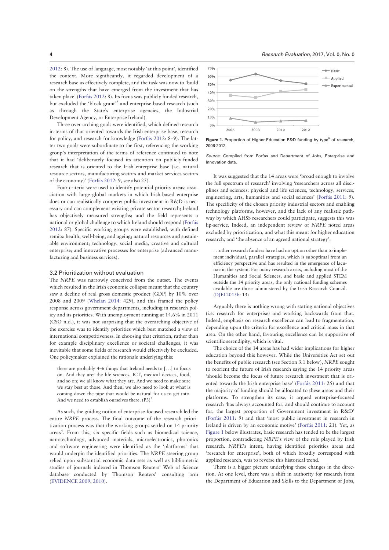2012: 8). The use of language, most notably 'at this point', identified the context. More significantly, it regarded development of a research base as effectively complete, and the task was now to 'build on the strengths that have emerged from the investment that has taken place' (Forfás 2012: 8). Its focus was publicly funded research, but excluded the 'block grant'2 and enterprise-based research (such as through the State's enterprise agencies, the Industrial Development Agency, or Enterprise Ireland).

Three over-arching goals were identified, which defined research in terms of that oriented towards the Irish enterprise base, research for policy, and research for knowledge (Forfás 2012: 8-9). The latter two goals were subordinate to the first, referencing the working group's interpretation of the terms of reference continued to note that it had 'deliberately focused its attention on publicly-funded research that is oriented to the Irish enterprise base (i.e. natural resource sectors, manufacturing sectors and market services sectors of the economy)' (Forfás 2012:  $9$ , see also 25).

Four criteria were used to identify potential priority areas: association with large global markets in which Irish-based enterprise does or can realistically compete; public investment in R&D is necessary and can complement existing private sector research; Ireland has objectively measured strengths; and the field represents a national or global challenge to which Ireland should respond (Forfás 2012: 87). Specific working groups were established, with defined remits: health, well-being, and ageing; natural resources and sustainable environment; technology, social media, creative and cultural enterprise; and innovative processes for enterprise (advanced manufacturing and business services).

#### 3.2 Prioritization without evaluation

The NRPE was narrowly conceived from the outset. The events which resulted in the Irish economic collapse meant that the country saw a decline of real gross domestic product (GDP) by 10% over 2008 and 2009 (Whelan 2014: 429), and this framed the policy response across government departments, including in research policy and its priorities. With unemployment running at 14.6% in 2011 (CSO n.d.), it was not surprising that the overarching objective of the exercise was to identify priorities which best matched a view of international competitiveness. In choosing that criterion, rather than for example disciplinary excellence or societal challenges, it was inevitable that some fields of research would effectively be excluded. One policymaker explained the rationale underlying this:

there are probably 4–6 things that Ireland needs to [...] to focus on. And they are: the life sciences, ICT, medical devices, food, and so on; we all know what they are. And we need to make sure we stay best at those. And then, we also need to look at what is coming down the pipe that would be natural for us to get into. And we need to establish ourselves there.  $(P3)^3$ 

As such, the guiding notion of enterprise-focused research led the entire NRPE process. The final outcome of the research prioritization process was that the working groups settled on 14 priority areas<sup>4</sup>. From this, six specific fields such as biomedical science, nanotechnology, advanced materials, microelectronics, photonics and software engineering were identified as the 'platforms' that would underpin the identified priorities. The NRPE steering group relied upon substantial economic data sets as well as bibliometric studies of journals indexed in Thomson Reuters' Web of Science database conducted by Thomson Reuters' consulting arm (EVIDENCE 2009, 2010).



Figure 1. Proportion of Higher Education R&D funding by type<sup>5</sup> of research, 2006-2012.

Source: Compiled from Forfás and Department of Jobs, Enterprise and Innovation data.

It was suggested that the 14 areas were 'broad enough to involve the full spectrum of research' involving 'researchers across all disciplines and sciences: physical and life sciences, technology, services, engineering, arts, humanities and social sciences' (Forfás 2011: 9). The specificity of the chosen priority industrial sectors and enabling technology platforms, however, and the lack of any realistic pathway by which AHSS researchers could participate, suggests this was lip-service. Indeed, an independent review of NRPE noted areas excluded by prioritization, and what this meant for higher education research, and 'the absence of an agreed national strategy':

...other research funders have had no option other than to implement individual, parallel strategies, which is suboptimal from an efficiency perspective and has resulted in the emergence of lacunae in the system. For many research areas, including most of the Humanities and Social Sciences, and basic and applied STEM outside the 14 priority areas, the only national funding schemes available are those administered by the Irish Research Council. (DJEI 2015b: 13)

Arguably there is nothing wrong with stating national objectives (i.e. research for enterprise) and working backwards from that. Indeed, emphasis on research excellence can lead to fragmentation, depending upon the criteria for excellence and critical mass in that area. On the other hand, favouring excellence can be supportive of scientific serendipity, which is vital.

The choice of the 14 areas has had wider implications for higher education beyond this however. While the Universities Act set out the benefits of public research (see Section 3.1 below), NRPE sought to reorient the future of Irish research saying the 14 priority areas 'should become the focus of future research investment that is oriented towards the Irish enterprise base' (Forfás 2011: 25) and that the majority of funding should be allocated to these areas and their platforms. To strengthen its case, it argued enterprise-focused research 'has always accounted for, and should continue to account for, the largest proportion of Government investment in R&D' (Forfás 2011: 9) and that 'most public investment in research in Ireland is driven by an economic motive' (Forfás 2011: 21). Yet, as Figure 1 below illustrates, basic research has tended to be the largest proportion, contradicting NRPE's view of the role played by Irish research. NRPE's intent, having identified priorities areas and 'research for enterprise', both of which broadly correspond with applied research, was to reverse this historical trend.

There is a bigger picture underlying these changes in the direction. At one level, there was a shift in authority for research from the Department of Education and Skills to the Department of Jobs,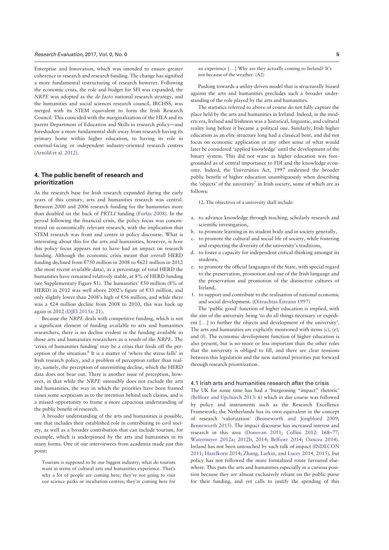Enterprise and Innovation, which was intended to ensure greater coherence in research and research funding. The change has signified a more fundamental restructuring of research however. Following the economic crisis, the role and budget for SFI was expanded, the NRPE was adopted as the de facto national research strategy, and the humanities and social sciences research council, IRCHSS, was merged with its STEM equivalent to form the Irish Research Council. This coincided with the marginalization of the HEA and its parent Department of Education and Skills in research policy—and foreshadow a more fundamental shift away from research having its primary home within higher education, to having its role in external-facing or independent industry-oriented research centres (Arnold et al. 2012).

## 4. The public benefit of research and prioritization

As the research base for Irish research expanded during the early years of this century, arts and humanities research was central. Between 2000 and 2006 research funding for the humanities more than doubled on the back of PRTLI funding (Forfás 2008). In the period following the financial crisis, the policy focus was concentrated on economically relevant research, with the implication that STEM research was front and centre in policy discourse. What is interesting about this for the arts and humanities, however, is how this policy focus appears not to have had an impact on research funding. Although the economic crisis meant that overall HERD funding declined from  $\epsilon$ 750 million in 2008 to  $\epsilon$ 621 million in 2012 (the most recent available data), as a percentage of total HERD the humanities have remained relatively stable, at 8% of HERD funding (see Supplementary Figure S1). The humanities'  $\text{\textsterling}50$  million (8% of HERD) in 2012 was well above 2002's figure of €33 million, and only slightly lower than 2008's high of  $E$ 56 million, and while there was a  $\epsilon$ 24 million decline from 2008 to 2010, this was back up again in 2012 (DJEI 2015a: 21).

Because the NRPE deals with competitive funding, which is not a significant element of funding available to arts and humanities researchers, there is no decline evident in the funding available to those arts and humanities researchers as a result of the NRPE. The 'crisis of humanities funding' may be a crisis that feeds off the perception of the situation.<sup>6</sup> It is a matter of 'where the stress falls' in Irish research policy, and a problem of perception rather than reality, namely, the perception of unremitting decline, which the HERD data does not bear out. There is another issue of perception, however, in that while the NRPE ostensibly does not exclude the arts and humanities, the way in which the priorities have been framed raises some scepticism as to the intention behind such claims, and is a missed opportunity to frame a more capacious understanding of the public benefit of research.

A broader understanding of the arts and humanities is possible, one that includes their established role in contributing to civil society, as well as a broader contribution that can include tourism, for example, which is underpinned by the arts and humanities in its many forms. One of our interviewees from academia made just this point:

Tourism is supposed to be our biggest industry; what do tourists want in terms of cultural arts and humanities experience. That's why a lot of people are coming here; they're not going to visit our science parks or incubation centres; they're coming here for

Pushing towards a utility-driven model that is structurally biased against the arts and humanities precludes such a broader understanding of the role played by the arts and humanities.

The statistics referred to above of course do not fully capture the place held by the arts and humanities in Ireland. Indeed, in the modern era, Ireland and Irishness was a historical, linguistic, and cultural reality long before it became a political one. Similarly, Irish higher education as an elite structure long had a classical bent, and did not focus on economic application or any other sense of what would later be considered 'applied knowledge' until the development of the binary system. This did not wane as higher education was foregrounded as of central importance to FDI and the knowledge economy. Indeed, the Universities Act, 1997 enshrined the broader public benefit of higher education unambiguously when describing the 'objects' of the university<sup>7</sup> in Irish society, some of which are as follows:

12. The objectives of a university shall include:

- a. to advance knowledge through teaching, scholarly research and scientific investigation,
- b. to promote learning in its student body and in society generally, c. to promote the cultural and social life of society, while fostering and respecting the diversity of the university's traditions,
- d. to foster a capacity for independent critical thinking amongst its students,
- e. to promote the official languages of the State, with special regard to the preservation, promotion and use of the Irish language and the preservation and promotion of the distinctive cultures of Ireland,
- f. to support and contribute to the realisation of national economic and social development. (Oireachtas Éireann 1997)

The 'public good' function of higher education is implied, with the aim of the university being 'to do all things necessary or expedient [...] to further the objects and development of the university'. The arts and humanities are explicitly mentioned with items (c), (e), and (f). The economic development function of higher education is also present, but is no more or less important than the other roles that the university is obliged to fill, and there are clear tensions between this legislation and the new national priorities put forward through research prioritization.

#### 4.1 Irish arts and humanities research after the crisis

The UK for some time has had a 'burgeoning "impact" rhetoric' (Belfiore and Upchurch 2013: 6) which in due course was followed by policy and instruments such as the Research Excellence Framework; the Netherlands has its own equivalent in the concept of research 'valorization' (Benneworth and Jongbloed 2009; Benneworth 2015). The impact discourse has increased interest and research in this area (Donovan 2011; Collini 2012: 168–77; Watermeyer 2012a; 2012b, 2014; Belfiore 2014; Oancea 2014). Ireland has not been untouched by such talk of impact (INDECON 2011; Hazelkorn 2014; Zhang, Larkin, and Lucey 2014, 2015), but policy has not followed the more formalized route favoured elsewhere. This puts the arts and humanities especially in a curious position because they are almost exclusively reliant on the public purse for their funding, and yet calls to justify the spending of this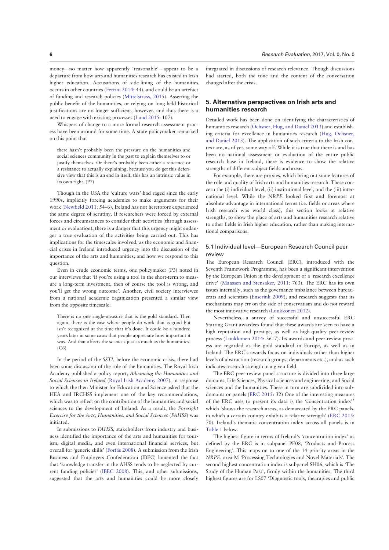money—no matter how apparently 'reasonable'—appear to be a departure from how arts and humanities research has existed in Irish higher education. Accusations of side-lining of the humanities occurs in other countries (Ferrini 2014: 44), and could be an artefact of funding and research policies (Mittelstrass, 2015). Asserting the public benefit of the humanities, or relying on long-held historical justifications are no longer sufficient, however, and thus there is a need to engage with existing processes (Lund 2015: 107).

Whispers of change to a more formal research assessment process have been around for some time. A state policymaker remarked on this point that

there hasn't probably been the pressure on the humanities and social sciences community in the past to explain themselves to or justify themselves. Or there's probably been either a reticence or a resistance to actually explaining, because you do get this defensive view that this is an end in itself, this has an intrinsic value in its own right. (P7)

Though in the USA the 'culture wars' had raged since the early 1990s, implicitly forcing academics to make arguments for their work (Newfield 2011: 54–6), Ireland has not heretofore experienced the same degree of scrutiny. If researchers were forced by external forces and circumstances to consider their activities (through assessment or evaluation), there is a danger that this urgency might endanger a true evaluation of the activities being carried out. This has implications for the timescales involved, as the economic and financial crises in Ireland introduced urgency into the discussion of the importance of the arts and humanities, and how we respond to this question.

Even in crude economic terms, one policymaker (P3) noted in our interviews that 'if you're using a tool in the short-term to measure a long-term investment, then of course the tool is wrong, and you'll get the wrong outcome'. Another, civil society interviewee from a national academic organization presented a similar view from the opposite timescale:

There is no one single-measure that is the gold standard. Then again, there is the case where people do work that is good but isn't recognized at the time that it's done. It could be a hundred years later in some cases that people appreciate how important it was. And that affects the sciences just as much as the humanities.  $(C6)$ 

In the period of the SSTI, before the economic crisis, there had been some discussion of the role of the humanities. The Royal Irish Academy published a policy report, Advancing the Humanities and Social Sciences in Ireland (Royal Irish Academy 2007), in response to which the then Minister for Education and Science asked that the HEA and IRCHSS implement one of the key recommendations, which was to reflect on the contribution of the humanities and social sciences to the development of Ireland. As a result, the Foresight Exercise for the Arts, Humanities, and Social Sciences (FAHSS) was initiated.

In submissions to FAHSS, stakeholders from industry and business identified the importance of the arts and humanities for tourism, digital media, and even international financial services, but overall for 'generic skills' (Forfás 2008). A submission from the Irish Business and Employers Confederation (IBEC) lamented the fact that 'knowledge transfer in the AHSS tends to be neglected by current funding policies' (IBEC 2008). This, and other submissions, suggested that the arts and humanities could be more closely

integrated in discussions of research relevance. Though discussions had started, both the tone and the content of the conversation changed after the crisis.

#### 5. Alternative perspectives on Irish arts and humanities research

Detailed work has been done on identifying the characteristics of humanities research (Ochsner, Hug, and Daniel 2013) and establishing criteria for excellence in humanities research (Hug, Ochsner, and Daniel 2013). The application of such criteria to the Irish context are, as of yet, some way off. While it is true that there is and has been no national assessment or evaluation of the entire public research base in Ireland, there is evidence to show the relative strengths of different subject fields and areas.

For example, there are proxies, which bring out some features of the role and quality of Irish arts and humanities research. These concern the (i) individual level, (ii) institutional level, and the (iii) international level. While the NRPE looked first and foremost at absolute advantage in international terms (i.e. fields or areas where Irish research was world class), this section looks at relative strengths, to show the place of arts and humanities research relative to other fields in Irish higher education, rather than making international comparisons.

### 5.1 Individual level—European Research Council peer review

The European Research Council (ERC), introduced with the Seventh Framework Programme, has been a significant intervention by the European Union in the development of a 'research excellence drive' (Maassen and Stensaker, 2011: 763). The ERC has its own issues internally, such as the governance imbalance between bureaucrats and scientists (Enserink 2009), and research suggests that its mechanisms may err on the side of conservatism and do not reward the most innovative research (Luukkonen 2012).

Nevertheless, a survey of successful and unsuccessful ERC Starting Grant awardees found that these awards are seen to have a high reputation and prestige, as well as high-quality peer-review process (Luukkonen 2014: 36–7). Its awards and peer-review process are regarded as the gold standard in Europe, as well as in Ireland. The ERC's awards focus on individuals rather than higher levels of abstraction (research groups, departments etc.), and as such indicates research strength in a given field.

The ERC peer-review panel structure is divided into three large domains, Life Sciences, Physical sciences and engineering, and Social sciences and the humanities. These in turn are subdivided into subdomains or panels (ERC 2015: 32) One of the interesting measures of the ERC uses to present its data is the 'concentration index'8 which 'shows the research areas, as demarcated by the ERC panels, in which a certain country exhibits a relative strength' (ERC 2015: 70). Ireland's thematic concentration index across all panels is in Table 1 below.

The highest figure in terms of Ireland's 'concentration index' as defined by the ERC is in subpanel PE08, 'Products and Process Engineering'. This maps on to one of the 14 priority areas in the NRPE, area M 'Processing Technologies and Novel Materials'. The second highest concentration index is subpanel SH06, which is 'The Study of the Human Past', firmly within the humanities. The third highest figures are for LS07 'Diagnostic tools, thearapies and public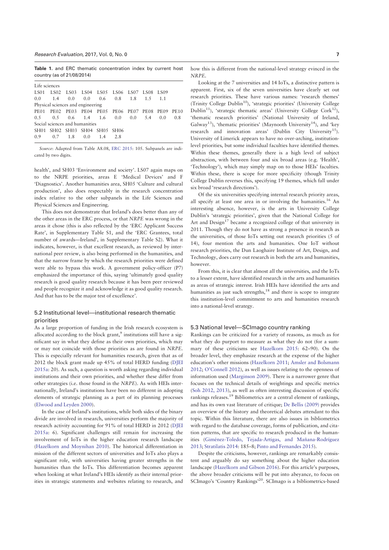Research Evaluation, 2017, Vol. 0, No. 0 7

Table 1. and ERC thematic concentration index by current host country (as of 21/08/2014)

| Life sciences                     |     |     |                                                   |     |     |  |  |     |     |
|-----------------------------------|-----|-----|---------------------------------------------------|-----|-----|--|--|-----|-----|
| <b>LS01</b>                       |     |     | 1.502 1.503 1.504 1.505 1.506 1.507 1.508 1.509   |     |     |  |  |     |     |
| 0.0                               | 1.4 |     | $0.0$ $0.0$ $0.6$ $0.8$ $1.8$ $1.5$               |     |     |  |  | 1.1 |     |
| Physical sciences and engineering |     |     |                                                   |     |     |  |  |     |     |
|                                   |     |     | PE01 PE02 PE03 PE04 PE05 PE06 PE07 PE08 PE09 PE10 |     |     |  |  |     |     |
| $0.5 -$                           | 0.5 |     | $0.6$ 1.4 1.6 0.0 0.0 5.4                         |     |     |  |  | 0.0 | 0.8 |
| Social sciences and humanities    |     |     |                                                   |     |     |  |  |     |     |
|                                   |     |     | SH01 SH02 SH03 SH04 SH05 SH06                     |     |     |  |  |     |     |
| 0.9                               | 0.7 | 1.8 | 0.0                                               | 1.4 | 2.8 |  |  |     |     |

Source: Adapted from Table A8.08, ERC 2015: 105. Subpanels are indicated by two digits.

health', and SH03 'Environment and society'. LS07 again maps on to the NRPE priorities, areas E 'Medical Devices' and F 'Diagnostics'. Another humanities area, SH05 'Culture and cultural production', also does respectably in the research concentration index relative to the other subpanels in the Life Sciences and Physical Sciences and Engineering.

This does not demonstrate that Ireland's does better than any of the other areas in the ERC process, or that NRPE was wrong in the areas it chose (this is also reflected by the 'ERC Applicant Success Rate', in Supplementary Table S1, and the 'ERC Grantees, total number of awards—Ireland', in Supplementary Table S2). What it indicates, however, is that excellent research, as reviewed by international peer review, is also being performed in the humanities, and that the narrow frame by which the research priorities were defined were able to bypass this work. A government policy-officer (P7) emphasized the importance of this, saying 'ultimately good quality research is good quality research because it has been peer reviewed and people recognize it and acknowledge it as good quality research. And that has to be the major test of excellence'.

#### 5.2 Institutional level—institutional research thematic priorities

As a large proportion of funding in the Irish research ecosystem is allocated according to the block grant, $9$  institutions still have a significant say in what they define as their own priorities, which may or may not coincide with those priorities as are found in NRPE. This is especially relevant for humanities research, given that as of 2012 the block grant made up 45% of total HERD funding (DJEI 2015a: 20). As such, a question is worth asking regarding individual institutions and their own priorities, and whether these differ from other strategies (i.e. those found in the NRPE). As with HEIs internationally, Ireland's institutions have been no different in adopting elements of strategic planning as a part of its planning processes (Elwood and Leyden 2000).

In the case of Ireland's institutions, while both sides of the binary divide are involved in research, universities perform the majority of research activity accounting for 91% of total HERD in 2012 (DJEI 2015a: 6). Significant challenges still remain for increasing the involvement of IoTs in the higher education research landscape (Hazelkorn and Moynihan 2010). The historical differentiation in mission of the different sectors of universities and IoTs also plays a significant role, with universities having greater strengths in the humanities than the IoTs. This differentiation becomes apparent when looking at what Ireland's HEIs identify as their internal priorities in strategic statements and websites relating to research, and how this is different from the national-level strategy evinced in the

Looking at the 7 universities and 14 IoTs, a distinctive pattern is apparent. First, six of the seven universities have clearly set out research priorities. These have various names: 'research themes' (Trinity College Dublin10), 'strategic priorities' (University College Dublin<sup>11</sup>), 'strategic thematic areas' (University College Cork<sup>12</sup>), 'thematic research priorities' (National University of Ireland, Galway<sup>13</sup>), 'thematic priorities' (Maynooth University<sup>14</sup>), and 'key research and innovation areas' (Dublin City University<sup>15</sup>). University of Limerick appears to have no over-arching, institutionlevel priorities, but some individual faculties have identified themes. Within these themes, generally there is a high level of subject abstraction, with between four and six broad areas (e.g. 'Health', 'Technology'), which may simply map on to those HEIs' faculties. Within these, there is scope for more specificity (though Trinity College Dublin reverses this, specifying 19 themes, which fall under six broad 'research directions').

NRPE.

Of the six universities specifying internal research priority areas, all specify at least one area in or involving the humanities.16 An interesting absence, however, is the arts in University College Dublin's 'strategic priorities', given that the National College for Art and Design<sup>17</sup> became a recognized college of that university in 2011. Though they do not have as strong a presence in research as the universities, of those IoTs setting out research priorities (5 of 14), four mention the arts and humanities. One IoT without research priorities, the Dun Laoghaire Institute of Art, Design, and Technology, does carry out research in both the arts and humanities, however.

From this, it is clear that almost all the universities, and the IoTs to a lesser extent, have identified research in the arts and humanities as areas of strategic interest. Irish HEIs have identified the arts and humanities as just such strengths, $18$  and there is scope to integrate this institution-level commitment to arts and humanities research into a national-level strategy.

#### 5.3 National level—SCImago country ranking

Rankings can be criticized for a variety of reasons, as much as for what they do purport to measure as what they do not (for a summary of these criticisms see Hazelkorn 2015: 62–90). On the broader level, they emphasize research at the expense of the higher education's other missions (Hazelkorn 2011; Amsler and Bolsmann 2012; O'Connell 2012), as well as issues relating to the openness of information used (Marginson 2009). There is a narrower genre that focuses on the technical details of weightings and specific metrics (Soh 2012, 2013), as well as often interesting discussion of specific rankings releases.<sup>19</sup> Bibliometrics are a central element of rankings, and has its own vast literature of critique; De Bellis (2009) provides an overview of the history and theoretical debates attendant to this topic. Within this literature, there are also issues in bibliometrics with regard to the database coverage, forms of publication, and citation patterns, that are specific to research produced in the humanities (Giménez-Toledo, Tejada-Artigas, and Mañana-Rodríguez 2013; Stratilatis 2014: 185–8; Pinto and Fernandes 2015).

Despite the criticisms, however, rankings are remarkably consistent and arguably do say something about the higher education landscape (Hazelkorn and Gibson 2016). For this article's purposes, the above broader criticisms will be put into abeyance, to focus on SCImago's 'Country Rankings'20. SCImago is a bibliometrics-based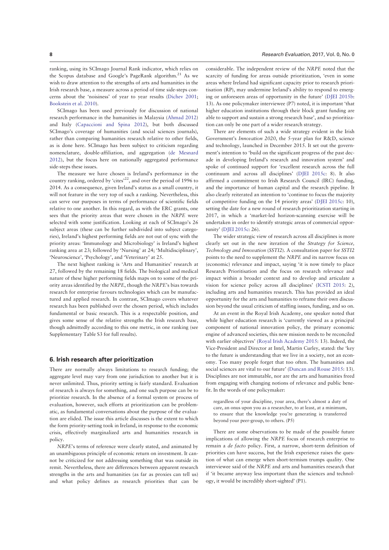ranking, using its SCImago Journal Rank indicator, which relies on the Scopus database and Google's PageRank algorithm.<sup>21</sup> As we wish to draw attention to the strengths of arts and humanities in the Irish research base, a measure across a period of time side-steps concerns about the 'noisiness' of year to year results (Dichev 2001; Bookstein et al. 2010).

SCImago has been used previously for discussion of national research performance in the humanities in Malaysia (Ahmad 2012) and Italy (Capaccioni and Spina 2012), but both discussed SCImago's coverage of humanities (and social sciences journals), rather than comparing humanities research relative to other fields, as is done here. SCImago has been subject to criticism regarding nomenclature, double-affiliation, and aggregation (de Mesnard 2012), but the focus here on nationally aggregated performance side-steps these issues.

The measure we have chosen is Ireland's performance in the country ranking, ordered by 'cites'22, and over the period of 1996 to 2014. As a consequence, given Ireland's status as a small country, it will not feature in the very top of such a ranking. Nevertheless, this can serve our purposes in terms of performance of scientific fields relative to one another. In this regard, as with the ERC grants, one sees that the priority areas that were chosen in the NRPE were selected with some justification. Looking at each of SCImago's 26 subject areas (these can be further subdivided into subject categories), Ireland's highest performing fields are not out of sync with the priority areas: 'Immunology and Microbiology' is Ireland's highest ranking area at 23; followed by 'Nursing' at 24; 'Multidisciplinary', 'Neuroscience', 'Psychology', and 'Veterinary' at 25.

The next highest ranking is 'Arts and Humanities' research at 27, followed by the remaining 18 fields. The biological and medical nature of these higher performing fields maps on to some of the priority areas identified by the NRPE, though the NRPE's bias towards research for enterprise favours technologies which can be manufactured and applied research. In contrast, SCImago covers whatever research has been published over the chosen period, which includes fundamental or basic research. This is a respectable position, and gives some sense of the relative strengths the Irish research base, though admittedly according to this one metric, in one ranking (see Supplementary Table S3 for full results).

#### 6. Irish research after prioritization

There are normally always limitations to research funding; the aggregate level may vary from one jurisdiction to another but it is never unlimited. Thus, priority setting is fairly standard. Evaluation of research is always for something, and one such purpose can be to prioritize research. In the absence of a formal system or process of evaluation, however, such efforts at prioritization can be problematic, as fundamental conversations about the purpose of the evaluation are elided. The issue this article discusses is the extent to which the form priority-setting took in Ireland, in response to the economic crisis, effectively marginalized arts and humanities research in policy.

NRPE's terms of reference were clearly stated, and animated by an unambiguous principle of economic return on investment. It cannot be criticized for not addressing something that was outside its remit. Nevertheless, there are differences between apparent research strengths in the arts and humanities (as far as proxies can tell us) and what policy defines as research priorities that can be

considerable. The independent review of the NRPE noted that the scarcity of funding for areas outside prioritization, 'even in some areas where Ireland had significant capacity prior to research prioritisation (RP), may undermine Ireland's ability to respond to emerging or unforeseen areas of opportunity in the future' (DJEI 2015b: 13). As one policymaker interviewee (P7) noted, it is important 'that higher education institutions through their block grant funding are able to support and sustain a strong research base', and so prioritization can only be one part of a wider research strategy.

There are elements of such a wide strategy evident in the Irish Government's Innovation 2020, the 5-year plan for R&D, science and technology, launched in December 2015. It set out the government's intention to 'build on the significant progress of the past decade in developing Ireland's research and innovation system' and spoke of continued support for 'excellent research across the full continuum and across all disciplines' (DJEI 2015c: 8). It also affirmed a commitment to Irish Research Council (IRC) funding, and the importance of human capital and the research pipeline. It also clearly reiterated an intention to 'continue to focus the majority of competitive funding on the 14 priority areas' (DJEI 2015c: 10), setting the date for a new round of research prioritization starting in 2017, in which a 'market-led horizon-scanning exercise will be undertaken in order to identify strategic areas of commercial opportunity' (DJEI 2015c: 26).

The wider strategic view of research across all disciplines is more clearly set out in the new iteration of the Strategy for Science, Technology and Innovation (SSTI2). A consultation paper for SSTI2 points to the need to supplement the NRPE and its narrow focus on (economic) relevance and impact, saying 'it is now timely to place Research Prioritisation and the focus on research relevance and impact within a broader context and to develop and articulate a vision for science policy across all disciplines' (ICSTI 2015: 2), including arts and humanities research. This has provided an ideal opportunity for the arts and humanities to reframe their own discussion beyond the usual criticism of staffing issues, funding, and so on.

At an event in the Royal Irish Academy, one speaker noted that while higher education research is 'currently viewed as a principal component of national innovation policy, the primary economic engine of advanced societies, this new mission needs to be reconciled with earlier objectives' (Royal Irish Academy 2015: 13). Indeed, the Vice-President and Director at Intel, Martin Curley, stated: the 'key to the future is understanding that we live in a society, not an economy. Too many people forget that too often. The humanities and social sciences are vital to our future' (Duncan and Rouse 2015: 13). Disciplines are not immutable, nor are the arts and humanities freed from engaging with changing notions of relevance and public benefit. In the words of one policymaker:

regardless of your discipline, your area, there's almost a duty of care, an onus upon you as a researcher, to at least, at a minimum, to ensure that the knowledge you're generating is transferred beyond your peer-group, to others. (P5)

There are some observations to be made of the possible future implications of allowing the NRPE focus of research enterprise to remain a de facto policy. First, a narrow, short-term definition of priorities can have success, but the Irish experience raises the question of what can emerge when short-termism trumps quality. One interviewee said of the NRPE and arts and humanities research that if 'it became anyway less important than the sciences and technology, it would be incredibly short-sighted' (P1).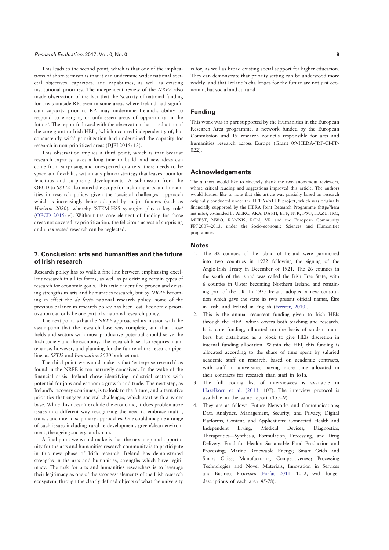#### Research Evaluation, 2017, Vol. 0, No. 0 9

This leads to the second point, which is that one of the implications of short-termism is that it can undermine wider national societal objectives, capacities, and capabilities, as well as existing institutional priorities. The independent review of the NRPE also made observation of the fact that the 'scarcity of national funding for areas outside RP, even in some areas where Ireland had significant capacity prior to RP, may undermine Ireland's ability to respond to emerging or unforeseen areas of opportunity in the future'. The report followed with the observation that a reduction of the core grant to Irish HEIs, 'which occurred independently of, but concurrently with' prioritization had undermined the capacity for research in non-prioritized areas (DJEI 2015: 13).

This observation implies a third point, which is that because research capacity takes a long time to build, and new ideas can come from surprising and unexpected quarters, there needs to be space and flexibility within any plan or strategy that leaves room for felicitous and surprising developments. A submission from the OECD to SSTI2 also noted the scope for including arts and humanities in research policy, given the 'societal challenges' approach which is increasingly being adopted by major funders (such as Horizon 2020), whereby 'STEM-HSS synergies play a key role' (OECD 2015: 6). Without the core element of funding for those areas not covered by prioritization, the felicitous aspect of surprising and unexpected research can be neglected.

## 7. Conclusion: arts and humanities and the future of Irish research

Research policy has to walk a fine line between emphasizing excellent research in all its forms, as well as prioritizing certain types of research for economic goals. This article identified proven and existing strengths in arts and humanities research, but by NRPE becoming in effect the de facto national research policy, some of the previous balance in research policy has been lost. Economic prioritization can only be one part of a national research policy.

The next point is that the NRPE approached its mission with the assumption that the research base was complete, and that those fields and sectors with most productive potential should serve the Irish society and the economy. The research base also requires maintenance, however, and planning for the future of the research pipeline, as SSTI2 and Innovation 2020 both set out.

The third point we would make is that 'enterprise research' as found in the NRPE is too narrowly conceived. In the wake of the financial crisis, Ireland chose identifying industrial sectors with potential for jobs and economic growth and trade. The next step, as Ireland's recovery continues, is to look to the future, and alternative priorities that engage societal challenges, which start with a wider base. While this doesn't exclude the economic, it does problematize issues in a different way recognizing the need to embrace multi-, trans-, and inter-disciplinary approaches. One could imagine a range of such issues including rural re-development, green/clean environment, the ageing society, and so on.

A final point we would make is that the next step and opportunity for the arts and humanities research community is to participate in this new phase of Irish research. Ireland has demonstrated strengths in the arts and humanities, strengths which have legitimacy. The task for arts and humanities researchers is to leverage their legitimacy as one of the strongest elements of the Irish research ecosystem, through the clearly defined objects of what the university is for, as well as broad existing social support for higher education. They can demonstrate that priority setting can be understood more widely, and that Ireland's challenges for the future are not just economic, but social and cultural.

## Funding

This work was in part supported by the Humanities in the European Research Area programme, a network funded by the European Commission and 19 research councils responsible for arts and humanities research across Europe (Grant 09-HERA-JRP-CI-FP-022).

#### Acknowledgements

The authors would like to sincerely thank the two anonymous reviewers, whose critical reading and suggestions improved this article. The authors would further like to note that this article was partially based on research originally conducted under the HERAVALUE project, which was originally financially supported by the HERA Joint Research Programme (http://hera net.info), co-funded by AHRC, AKA, DASTI, ETF, FNR, FWF, HAZU, IRC, MHEST, NWO, RANNIS, RCN, VR and the European Community FP7 2007–2013, under the Socio-economic Sciences and Humanities programme.

#### **Notes**

- 1. The 32 counties of the island of Ireland were partitioned into two countries in 1922 following the signing of the Anglo-Irish Treaty in December of 1921. The 26 counties in the south of the island was called the Irish Free State, with 6 counties in Ulster becoming Northern Ireland and remaining part of the UK. In 1937 Ireland adopted a new constitution which gave the state its two present official names, Éire in Irish, and Ireland in English (Ferriter, 2010).
- 2. This is the annual recurrent funding given to Irish HEIs through the HEA, which covers both teaching and research. It is core funding, allocated on the basis of student numbers, but distributed as a block to give HEIs discretion in internal funding allocation. Within the HEI, this funding is allocated according to the share of time spent by salaried academic staff on research, based on academic contracts, with staff in universities having more time allocated in their contracts for research than staff in IoTs.
- 3. The full coding list of interviewees is available in Hazelkorn et al. (2013: 107). The interview protocol is available in the same report (157–9).
- 4. They are as follows: Future Networks and Communications; Data Analytics, Management, Security, and Privacy; Digital Platforms, Content, and Applications; Connected Health and Independent Living; Medical Devices; Diagnostics; Therapeutics—Synthesis, Formulation, Processing, and Drug Delivery; Food for Health; Sustainable Food Production and Processing; Marine Renewable Energy; Smart Grids and Smart Cities; Manufacturing Competitiveness; Processing Technologies and Novel Materials; Innovation in Services and Business Processes (Forfás 2011: 10-2, with longer descriptions of each area 45-78).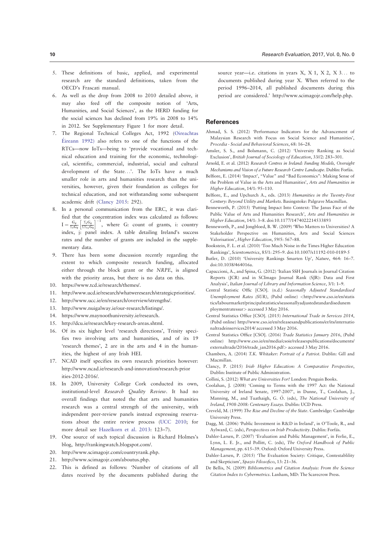- 5. These definitions of basic, applied, and experimental research are the standard definitions, taken from the OECD's Frascati manual.
- 6. As well as the drop from 2008 to 2010 detailed above, it may also feed off the composite notion of 'Arts, Humanities, and Social Sciences', as the HERD funding for the social sciences has declined from 19% in 2008 to 14% in 2012. See Supplementary Figure 1 for more detail.
- 7. The Regional Technical Colleges Act, 1992 (Oireachtas Éireann  $1992$ ) also refers to one of the functions of the RTCs—now IoTs—being to 'provide vocational and technical education and training for the economic, technological, scientific, commercial, industrial, social and cultural development of the State...'. The IoTs have a much smaller role in arts and humanities research than the universities, however, given their foundation as colleges for technical education, and not withstanding some subsequent academic drift (Clancy 2015: 292).
- 8. In a personal communication from the ERC, it was clarified that the concentration index was calculated as follows:  $I = \frac{G_{ij}}{\Sigma_i G_{ij}} \left[ \frac{\Sigma_i G_{ij}}{\Sigma \Sigma_{ij} G_{ij}} \right]^{-1}$ , where G: count of grants, i: country index, j: panel index. A table detailing Ireland's success rates and the number of grants are included in the supplementary data.
- 9. There has been some discussion recently regarding the extent to which composite research funding, allocated either through the block grant or the NRPE, is aligned with the priority areas, but there is no data on this.
- 10. https://www.tcd.ie/research/themes/.
- 11. http://www.ucd.ie/research/whatweresearch/strategicpriorities/.
- 12. http://www.ucc.ie/en/research/overview/strengths/.
- 13. http://www.nuigalway.ie/our-research/listings/.
- 14. https://www.maynoothuniversity.ie/research.
- 15. http://dcu.ie/research/key-research-areas.shtml.
- 16. Of its six higher level 'research directions', Trinity specifies two involving arts and humanities, and of its 19 'research themes', 2 are in the arts and 4 in the humanities, the highest of any Irish HEI.
- 17. NCAD itself specifies its own research priorities however: http://www.ncad.ie/research-and-innovation/research-prior ities-2012-2016/.
- 18. In 2009, University College Cork conducted its own, institutional-level Research Quality Review. It had no overall findings that noted the that arts and humanities research was a central strength of the university, with independent peer-review panels instead expressing reservations about the entire review process (UCC 2010; for more detail see Hazelkorn et al. 2013: 123–7).
- 19. One source of such topical discussion is Richard Holmes's blog, http://rankingwatch.blogspot.com/.
- 20. http://www.scimagojr.com/countryrank.php.
- 21. http://www.scimagojr.com/aboutus.php.
- 22. This is defined as follows: 'Number of citations of all dates received by the documents published during the

source year—i.e. citations in years  $X$ ,  $X$  1,  $X$  2,  $X$  3... to documents published during year X. When referred to the period 1996–2014, all published documents during this period are considered.' http://www.scimagojr.com/help.php.

#### References

- Ahmad, S. S. (2012) 'Performance Indicators for the Advancement of Malaysian Research with Focus on Social Science and Humanities', Procedia - Social and Behavioral Sciences, 68: 16–28.
- Amsler, S. S., and Bolsmann, C. (2012) 'University Ranking as Social Exclusion', British Journal of Sociology of Education, 33//2: 283–301.
- Arnold, E. et al. (2012) Research Centres in Ireland: Funding Models, Oversight Mechanisms and Vision of a Future Research Centre Landscape. Dublin: Forfás.
- Belfiore, E. (2014) 'Impact', "Value" and "Bad Economics": Making Sense of the Problem of Value in the Arts and Humanities', Arts and Humanities in Higher Education, 14/1: 95–110.
- Belfiore, E., and Upchurch A., eds. (2013) Humanities in the Twenty-First Century: Beyond Utility and Markets. Basingstoke: Palgrave Macmillan.
- Benneworth, P. (2015) 'Putting Impact Into Context: The Janus Face of the Public Value of Arts and Humanities Research', Arts and Humanities in Higher Education, 14/1: 3–8. doi:10.1177/1474022214533893
- Benneworth, P., and Jongbloed, B. W. (2009) 'Who Matters to Universities? A Stakeholder Perspective on Humanities, Arts and Social Sciences Valorisation', Higher Education, 59/5: 567–88.
- Bookstein, F. L. et al. (2010) 'Too Much Noise in the Times Higher Education Rankings', Scientometrics, 85/1: 295–9. doi:10.1007/s11192-010-0189-5
- Butler, D. (2010) 'University Rankings Smarten Up', Nature, 464: 16-7. doi:10.1038/464016a.
- Capaccioni, A., and Spina, G. (2012) 'Italian SSH Journals in Journal Citation Reports (JCR) and in SCImago Journal Rank (SJR): Data and First Analysis', Italian Journal of Library and Information Science, 3/1: 1–9.
- Central Statistic Offic [CSO]. (n.d.) Seasonally Adjusted Standardised Unemployment Rates (SUR), (Pubd online) <http://www.cso.ie/en/statis tics/labourmarket/principalstatistics/seasonallyadjustedstandardisedunem ploymentratessur> accessed 3 May 2016.
- Central Statistics Office [CSO]. (2015) International Trade in Services 2014, (Pubd online) http://www.cso.ie/en/releasesandpublications/er/its/internatio naltradeinservices2014/ accessed 3 May 2016.
- Central Statistics Office [CSO]. (2016) Trade Statistics January 2016, (Pubd online) http://www.cso.ie/en/media/csoie/releasespublications/documents/ externaltrade/2016/trade\_jan2016.pdf> accessed 3 May 2016.
- Chambers, A. (2014) T.K. Whitaker: Portrait of a Patriot. Dublin: Gill and Macmillan.
- Clancy, P. (2015) Irish Higher Education: A Comparative Perspective, Dublin: Institute of Public Administration.
- Collini, S. (2012) What are Universities For? London: Penguin Books.
- Coolahan, J. (2008) 'Coming to Terms with the 1997 Act: the National University of Ireland Senate, 1997-2007', in Dunne, T., Coolahan, J., Manning, M., and Tuathaigh, G. Ó. (eds), The National University of Ireland, 1908-2008: Centenary Essays. Dublin: UCD Press.
- Creveld, M. (1999) The Rise and Decline of the State. Cambridge: Cambridge University Press.
- Dagg, M. (2006) 'Public Investment in R&D in Ireland', in O'Toole, R., and Aylward, C. (eds), Perspectives on Irish Productivity. Dublin: Forfás.
- Dahler-Larsen, P. (2007) 'Evaluation and Public Management', in Ferlie, E., Lynn, L. E. Jr., and Pollitt, C. (eds), The Oxford Handbook of Public Management, pp. 615–39. Oxford: Oxford University Press.
- Dahler-Larsen, P. (2015) 'The Evaluation Society: Critique, Contestablility and Skepticism', Spazio Filosofico, 13: 21–36.
- De Bellis, N. (2009) Bibliometrics and Citation Analysis: From the Science Citation Index to Cybermetrics. Lanham, MD: The Scarecrow Press.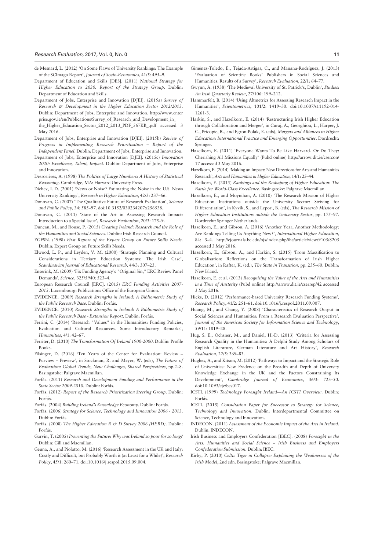- de Mesnard, L. (2012) 'On Some Flaws of University Rankings: The Example of the SCImago Report', Journal of Socio-Economics, 41/5: 495–9.
- Department of Education and Skills [DES]. (2011) National Strategy for Higher Education to 2030. Report of the Strategy Group. Dublin: Department of Education and Skills.
- Department of Jobs, Enterprise and Innovation [DJEI]. (2015a) Survey of Research & Development in the Higher Education Sector 2012/2013. Dublin: Department of Jobs, Enterprise and Innovation. http://www.enter prise.gov.ie/en/Publications/Survey\_of\_Research\_and\_Development\_in\_ the\_Higher\_Education\_Sector\_2012\_2013\_PDF\_567KB\_.pdf accessed 3 May 2016.
- Department of Jobs, Enterprise and Innovation [DJEI]. (2015b) Review of Progress in Implementing Research Prioritisation – Report of the Independent Panel. Dublin: Department of Jobs, Enterprise and Innovation.
- Department of Jobs, Enterprise and Innovation [DJEI]. (2015c) Innovation 2020: Excellence, Talent, Impact. Dublin: Department of Jobs, Enterprise and Innovation.
- Desrosières, A. (1998) The Politics of Large Numbers: A History of Statistical Reasoning. Cambridge, MA: Harvard University Press.
- Dichev, I. D. (2001) 'News or Noise? Estimating the Noise in the U.S. News University Rankings', Research in Higher Education, 42/3: 237–66.
- Donovan, C. (2007) 'The Qualitative Future of Research Evaluation', Science and Public Policy, 34: 585–97. doi:10.3152/030234207x256538.
- Donovan, C. (2011) 'State of the Art in Assessing Research Impact: Introduction to a Special Issue', Research Evaluation, 20/3: 175–9.
- Duncan, M., and Rouse, P. (2015) Creating Ireland: Research and the Role of the Humanities and Social Sciences. Dublin: Irish Research Council.
- EGFSN. (1998) First Report of the Expert Group on Future Skills Needs. Dublin: Expert Group on Future Skills Needs.
- Elwood, L. P., and Leyden, V. M. (2000) 'Strategic Planning and Cultural Considerations in Tertiary Education Systems: The Irish Case', Scandinavian Journal of Educational Research, 44/3: 307–23.
- Enserink, M. (2009) 'Fix Funding Agency's "Original Sin," ERC Review Panel Demands', Science, 325/5940: 523–4.
- European Research Council [ERC]. (2015) ERC Funding Activities 2007- 2013. Luxembourg: Publications Office of the European Union.
- EVIDENCE. (2009) Research Strengths in Ireland: A Bibliometric Study of the Public Research Base. Dublin: Forfás.
- EVIDENCE. (2010) Research Strengths in Ireland: A Bibliometric Study of the Public Research Base - Extension Report. Dublin: Forfás.
- Ferrini, C. (2014) 'Research "Values" in the Humanities: Funding Policies, Evaluation and Cultural Resources. Some Introductory Remarks', Humanities, 4/1: 42–67.
- Ferriter, D. (2010) The Transformation Of Ireland 1900-2000. Dublin: Profile Books.
- Filsinger, D. (2016) 'Ten Years of the Center for Evaluation: Review Purview – Preview', in Stockman, R. and Meyer, W. (eds), The Future of Evaluation: Global Trends, New Challenges, Shared Perspectives, pp.2–8. Basingstoke: Palgrave Macmillan.
- Forfás. (2011) Research and Development Funding and Performance in the State Sector 2009-2010. Dublin: Forfás.
- Forfás. (2012) Report of the Research Prioritization Steering Group. Dublin: Forfás.
- Forfás. (2004) Building Ireland's Knowledge Economy. Dublin: Forfás.
- Forfás. (2006) Strategy for Science, Technology and Innovation 2006 2013. Dublin: Forfás.
- Forfás. (2008) The Higher Education R & D Survey 2006 (HERD). Dublin: Forfás.
- Garvin, T. (2005) Preventing the Future: Why was Ireland so poor for so long? Dublin: Gill and Macmillan.
- Geuna, A., and Piolatto, M. (2016) 'Research Assessment in the UK and Italy: Costly and Difficult, but Probably Worth it (at Least for a While)', Research Policy, 45/1: 260–71. doi:10.1016/j.respol.2015.09.004.
- Giménez-Toledo, E., Tejada-Artigas, C., and Mañana-Rodríguez, J. (2013) 'Evaluation of Scientific Books' Publishers in Social Sciences and Humanities: Results of a Survey', Research Evaluation, 22/1: 64–77.
- Gwynn, A. (1938) 'The Medieval University of St. Patrick's, Dublin', Studies: An Irish Quarterly Review, 27/106: 199–212.
- Hammarfelt, B. (2014) 'Using Altmetrics for Assessing Research Impact in the Humanities', Scientometrics, 101/2: 1419–30. doi:10.1007/s11192-014- 1261-3.
- Harkin, S., and Hazelkorn, E. (2014) 'Restructuring Irish Higher Education through Collaboration and Merger', in Curaj, A., Georghiou, L., Harper, J. C., Pricopie, R., and Egron-Polak, E. (eds), Mergers and Alliances in Higher Education: International Practice and Emerging Opportunities. Dordrecht: Springer.
- Hazelkorn, E. (2011) 'Everyone Wants To Be Like Harvard- Or Do They: Cherishing All Missions Equally' (Pubd online) http://arrow.dit.ie/csercon/ 17 accessed 3 May 2016.
- Hazelkorn, E. (2014) 'Making an Impact: New Directions for Arts and Humanities Research', Arts and Humanities in Higher Education, 14/1: 25–44.
- Hazelkorn, E. (2015) Rankings and the Reshaping of Higher Education: The Battle for World-Class Excellence. Basingstoke: Palgrave Macmillan.
- Hazelkorn, E., and Moynihan, A. (2010) 'The Research Mission of Higher Education Institutions outside the University Sector: Striving for Differentiation', in Kyvik, S., and Lepori, B. (eds), The Research Mission of Higher Education Institutions outside the University Sector, pp. 175–97. Dordrecht: Springer Netherlands.
- Hazelkorn, E., and Gibson, A. (2016) 'Another Year, Another Methodology: Are Rankings Telling Us Anything New?', International Higher Education, 84: 3–4. http://ejournals.bc.edu/ojs/index.php/ihe/article/view/9105/8205 accessed 3 May 2016.
- Hazelkorn, E., Gibson, A., and Harkin, S. (2015) 'From Massification to Globalisation: Reflections on the Transformation of Irish Higher Education', in Rafter, K. (ed.), The State in Transition, pp. 235–60. Dublin: New Island.
- Hazelkorn, E. et al. (2013) Recognising the Value of the Arts and Humanities in a Time of Austerity (Pubd online) http://arrow.dit.ie/cserrep/42 accessed 3 May 2016.
- Hicks, D. (2012) 'Performance-based University Research Funding Systems', Research Policy, 41/2: 251–61. doi:10.1016/j.respol.2011.09.007.
- Huang, M., and Chang, Y. (2008) 'Characteristics of Research Output in Social Sciences and Humanities: From a Research Evaluation Perspective', Journal of the American Society for Information Science and Technology, 59/11: 1819–28.
- Hug, S. E., Ochsner, M., and Daniel, H.-D. (2013) 'Criteria for Assessing Research Quality in the Humanities: A Delphi Study Among Scholars of English Literature, German Literature and Art History', Research Evaluation, 22/5: 369–83.
- Hughes, A., and Kitson, M. (2012) 'Pathways to Impact and the Strategic Role of Universities: New Evidence on the Breadth and Depth of University Knowledge Exchange in the UK and the Factors Constraining Its Development', Cambridge Journal of Economics, 36/3: 723–50. doi:10.1093/cje/bes017.
- ICSTI. (1999) Technology Foresight Ireland—An ICSTI Overview. Dublin: Forfás.
- ICSTI. (2015) Consultation Paper for Successor to Strategy for Science, Technology and Innovation. Dublin: Interdepartmental Committee on Science, Technology and Innovation.
- INDECON. (2011) Assessment of the Economic Impact of the Arts in Ireland. Dublin: INDECON.
- Irish Business and Employers Confederation [IBEC]. (2008) Foresight in the Arts, Humanities and Social Science – Irish Business and Employers Confederation Submission. Dublin: IBEC.
- Kirby, P. (2010) Celtic Tiger in Collapse: Explaining the Weaknesses of the Irish Model, 2nd edn. Basingstoke: Palgrave Macmillan.